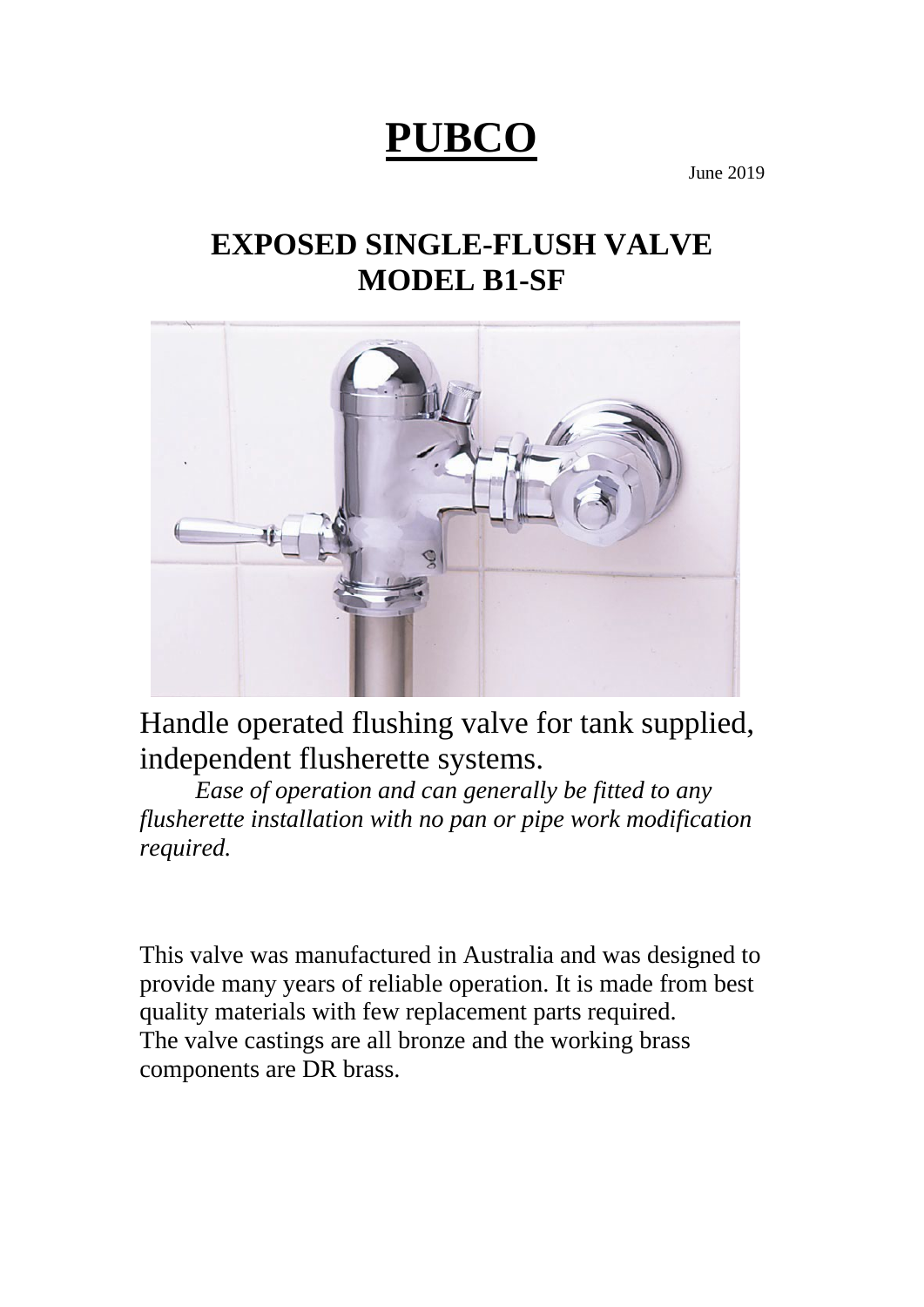# **PUBCO**

June 2019

# **EXPOSED SINGLE-FLUSH VALVE MODEL B1-SF**



Handle operated flushing valve for tank supplied, independent flusherette systems.

*Ease of operation and can generally be fitted to any flusherette installation with no pan or pipe work modification required.* 

This valve was manufactured in Australia and was designed to provide many years of reliable operation. It is made from best quality materials with few replacement parts required. The valve castings are all bronze and the working brass components are DR brass.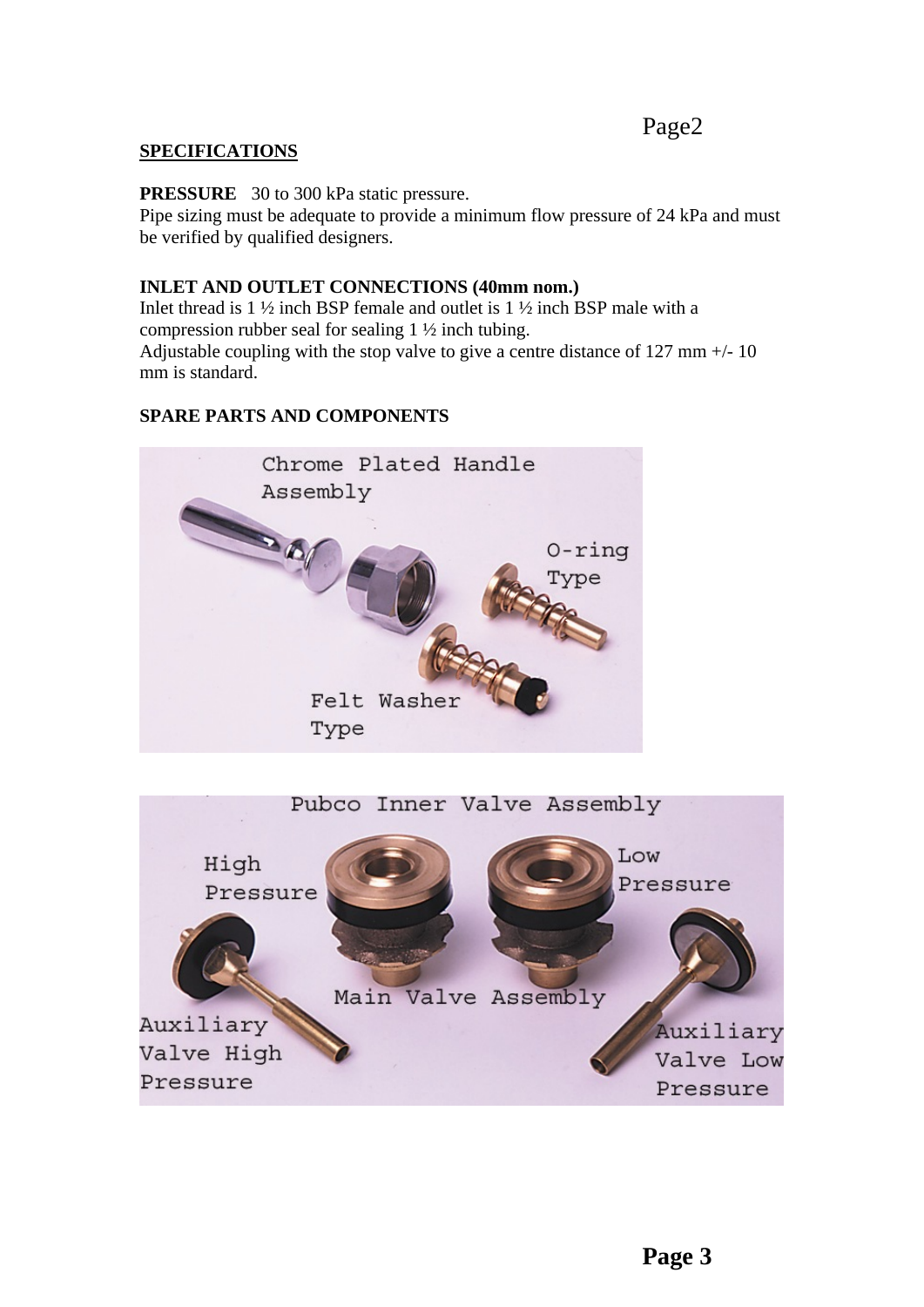### Page2

#### **SPECIFICATIONS**

**PRESSURE** 30 to 300 kPa static pressure. Pipe sizing must be adequate to provide a minimum flow pressure of 24 kPa and must be verified by qualified designers.

#### **INLET AND OUTLET CONNECTIONS (40mm nom.)**

Inlet thread is 1 ½ inch BSP female and outlet is 1 ½ inch BSP male with a compression rubber seal for sealing 1 ½ inch tubing. Adjustable coupling with the stop valve to give a centre distance of 127 mm +/- 10 mm is standard.

#### **SPARE PARTS AND COMPONENTS**



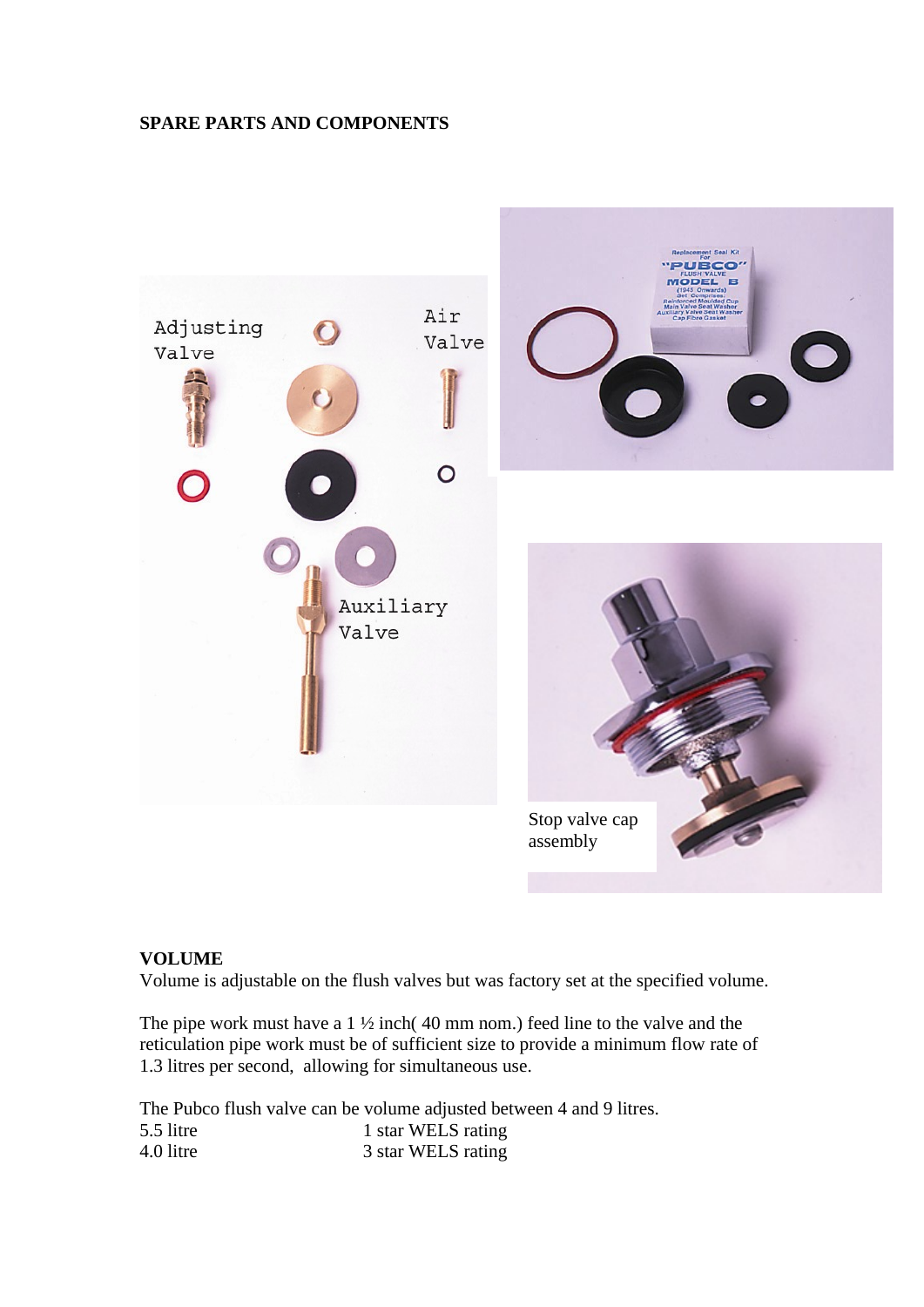#### **SPARE PARTS AND COMPONENTS**



#### **VOLUME**

Volume is adjustable on the flush valves but was factory set at the specified volume.

The pipe work must have a 1 ½ inch( 40 mm nom.) feed line to the valve and the reticulation pipe work must be of sufficient size to provide a minimum flow rate of 1.3 litres per second, allowing for simultaneous use.

The Pubco flush valve can be volume adjusted between 4 and 9 litres. 5.5 litre 1 star WELS rating 4.0 litre 3 star WELS rating